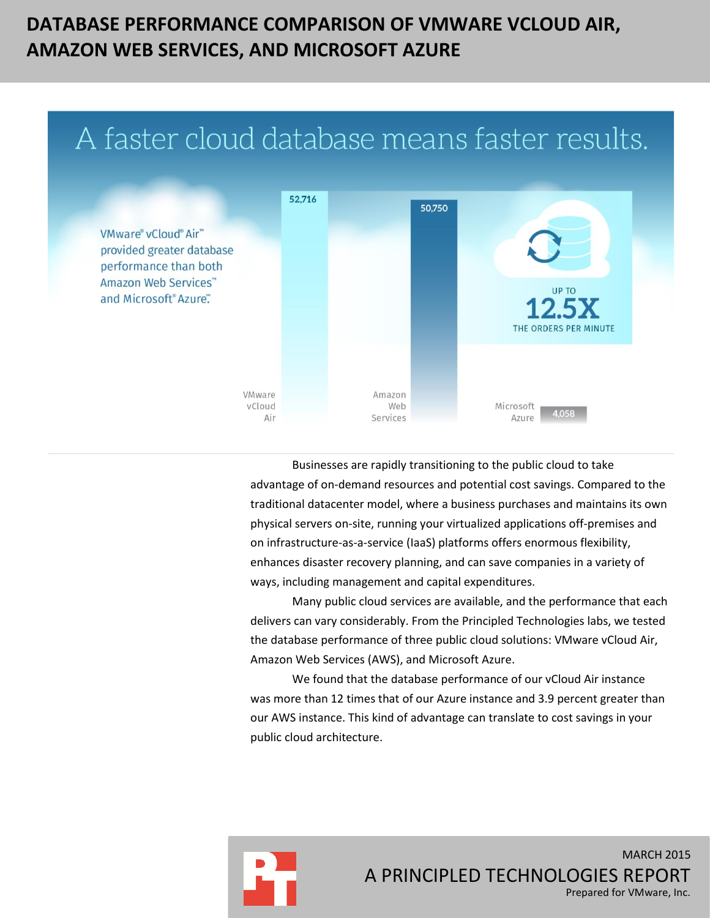# **DATABASE PERFORMANCE COMPARISON OF VMWARE VCLOUD AIR, AMAZON WEB SERVICES, AND MICROSOFT AZURE**

# A faster cloud database means faster results.



Businesses are rapidly transitioning to the public cloud to take advantage of on-demand resources and potential cost savings. Compared to the traditional datacenter model, where a business purchases and maintains its own physical servers on-site, running your virtualized applications off-premises and on infrastructure-as-a-service (IaaS) platforms offers enormous flexibility, enhances disaster recovery planning, and can save companies in a variety of ways, including management and capital expenditures.

Many public cloud services are available, and the performance that each delivers can vary considerably. From the Principled Technologies labs, we tested the database performance of three public cloud solutions: VMware vCloud Air, Amazon Web Services (AWS), and Microsoft Azure.

We found that the database performance of our vCloud Air instance was more than 12 times that of our Azure instance and 3.9 percent greater than our AWS instance. This kind of advantage can translate to cost savings in your public cloud architecture.

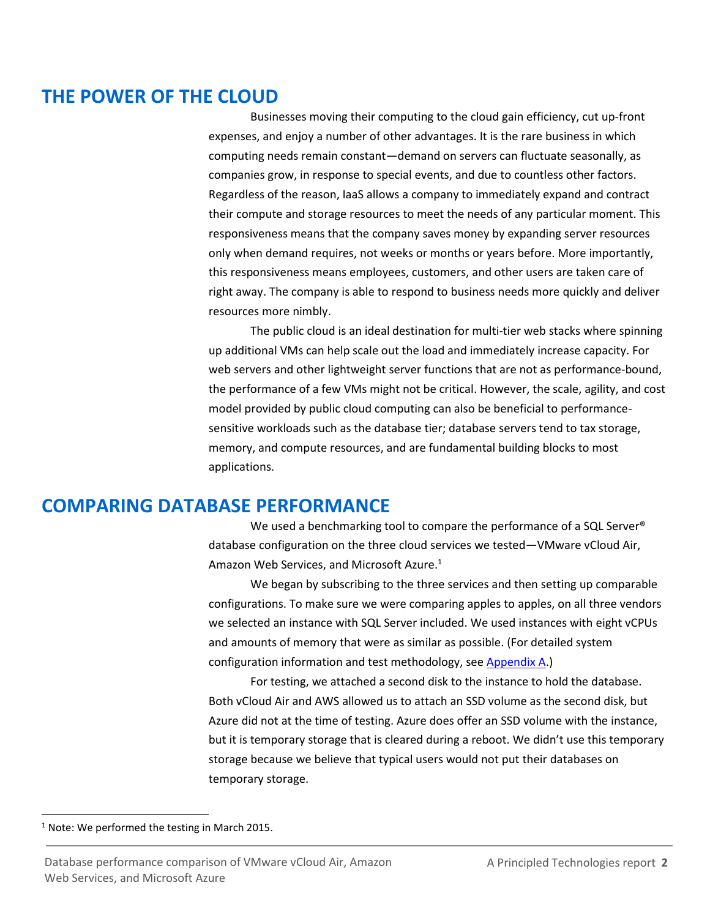### **THE POWER OF THE CLOUD**

Businesses moving their computing to the cloud gain efficiency, cut up-front expenses, and enjoy a number of other advantages. It is the rare business in which computing needs remain constant—demand on servers can fluctuate seasonally, as companies grow, in response to special events, and due to countless other factors. Regardless of the reason, IaaS allows a company to immediately expand and contract their compute and storage resources to meet the needs of any particular moment. This responsiveness means that the company saves money by expanding server resources only when demand requires, not weeks or months or years before. More importantly, this responsiveness means employees, customers, and other users are taken care of right away. The company is able to respond to business needs more quickly and deliver resources more nimbly.

The public cloud is an ideal destination for multi-tier web stacks where spinning up additional VMs can help scale out the load and immediately increase capacity. For web servers and other lightweight server functions that are not as performance-bound, the performance of a few VMs might not be critical. However, the scale, agility, and cost model provided by public cloud computing can also be beneficial to performancesensitive workloads such as the database tier; database servers tend to tax storage, memory, and compute resources, and are fundamental building blocks to most applications.

### **COMPARING DATABASE PERFORMANCE**

We used a benchmarking tool to compare the performance of a SQL Server<sup>®</sup> database configuration on the three cloud services we tested—VMware vCloud Air, Amazon Web Services, and Microsoft Azure.<sup>1</sup>

We began by subscribing to the three services and then setting up comparable configurations. To make sure we were comparing apples to apples, on all three vendors we selected an instance with SQL Server included. We used instances with eight vCPUs and amounts of memory that were as similar as possible. (For detailed system configuration information and test methodology, se[e Appendix A.](#page-4-0))

For testing, we attached a second disk to the instance to hold the database. Both vCloud Air and AWS allowed us to attach an SSD volume as the second disk, but Azure did not at the time of testing. Azure does offer an SSD volume with the instance, but it is temporary storage that is cleared during a reboot. We didn't use this temporary storage because we believe that typical users would not put their databases on temporary storage.

 $\overline{\phantom{a}}$ 

<sup>&</sup>lt;sup>1</sup> Note: We performed the testing in March 2015.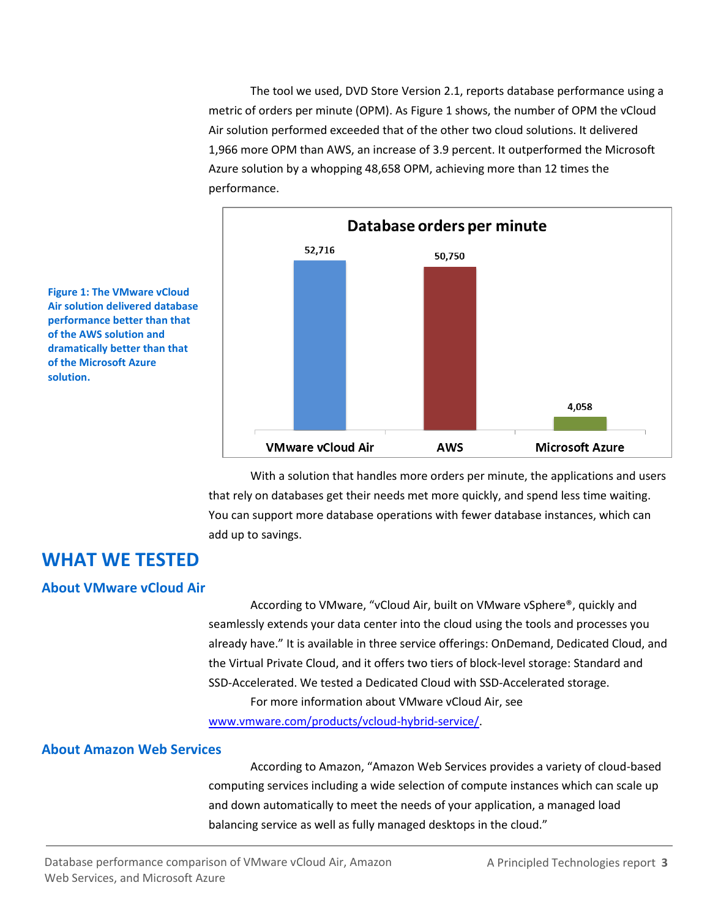The tool we used, DVD Store Version 2.1, reports database performance using a metric of orders per minute (OPM). As Figure 1 shows, the number of OPM the vCloud Air solution performed exceeded that of the other two cloud solutions. It delivered 1,966 more OPM than AWS, an increase of 3.9 percent. It outperformed the Microsoft Azure solution by a whopping 48,658 OPM, achieving more than 12 times the performance.



**Figure 1: The VMware vCloud Air solution delivered database performance better than that of the AWS solution and dramatically better than that of the Microsoft Azure solution.**

> With a solution that handles more orders per minute, the applications and users that rely on databases get their needs met more quickly, and spend less time waiting. You can support more database operations with fewer database instances, which can add up to savings.

### **WHAT WE TESTED**

#### **About VMware vCloud Air**

According to VMware, "vCloud Air, built on VMware vSphere®, quickly and seamlessly extends your data center into the cloud using the tools and processes you already have." It is available in three service offerings: OnDemand, Dedicated Cloud, and the Virtual Private Cloud, and it offers two tiers of block-level storage: Standard and SSD-Accelerated. We tested a Dedicated Cloud with SSD-Accelerated storage. For more information about VMware vCloud Air, see

[www.vmware.com/products/vcloud-hybrid-service/.](http://www.vmware.com/products/vcloud-hybrid-service/)

#### **About Amazon Web Services**

According to Amazon, "Amazon Web Services provides a variety of cloud-based computing services including a wide selection of compute instances which can scale up and down automatically to meet the needs of your application, a managed load balancing service as well as fully managed desktops in the cloud."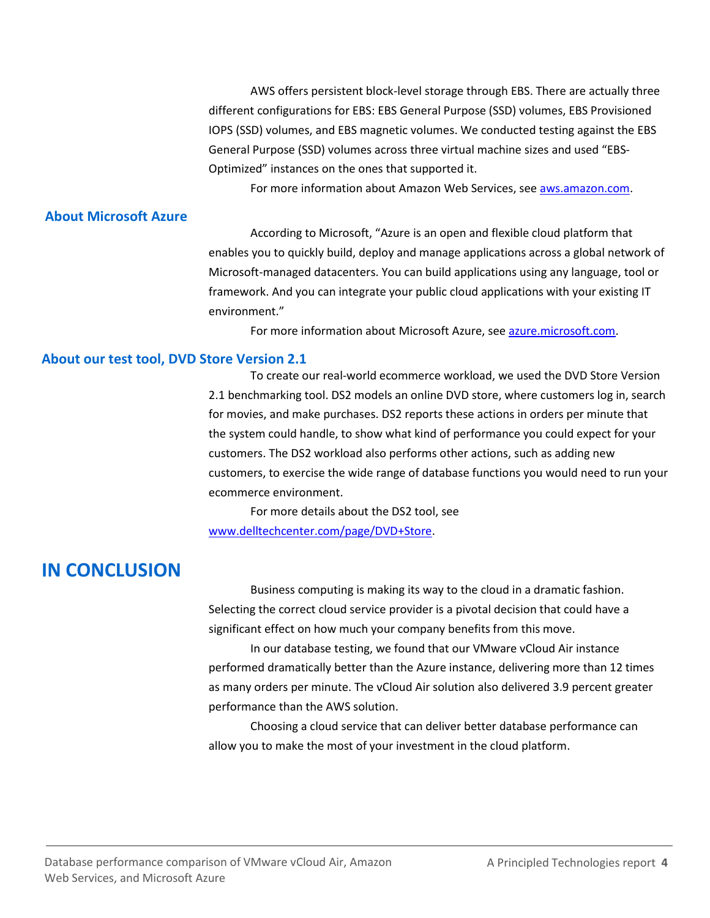AWS offers persistent block-level storage through EBS. There are actually three different configurations for EBS: EBS General Purpose (SSD) volumes, EBS Provisioned IOPS (SSD) volumes, and EBS magnetic volumes. We conducted testing against the EBS General Purpose (SSD) volumes across three virtual machine sizes and used "EBS-Optimized" instances on the ones that supported it.

For more information about Amazon Web Services, se[e aws.amazon.com.](http://aws.amazon.com/)

#### **About Microsoft Azure**

According to Microsoft, "Azure is an open and flexible cloud platform that enables you to quickly build, deploy and manage applications across a global network of Microsoft-managed datacenters. You can build applications using any language, tool or framework. And you can integrate your public cloud applications with your existing IT environment."

For more information about Microsoft Azure, se[e azure.microsoft.com.](http://azure.microsoft.com/)

#### **About our test tool, DVD Store Version 2.1**

To create our real-world ecommerce workload, we used the DVD Store Version 2.1 benchmarking tool. DS2 models an online DVD store, where customers log in, search for movies, and make purchases. DS2 reports these actions in orders per minute that the system could handle, to show what kind of performance you could expect for your customers. The DS2 workload also performs other actions, such as adding new customers, to exercise the wide range of database functions you would need to run your ecommerce environment.

For more details about the DS2 tool, see

[www.delltechcenter.com/page/DVD+Store.](http://www.delltechcenter.com/page/DVD+Store)

### **IN CONCLUSION**

Business computing is making its way to the cloud in a dramatic fashion. Selecting the correct cloud service provider is a pivotal decision that could have a significant effect on how much your company benefits from this move.

In our database testing, we found that our VMware vCloud Air instance performed dramatically better than the Azure instance, delivering more than 12 times as many orders per minute. The vCloud Air solution also delivered 3.9 percent greater performance than the AWS solution.

Choosing a cloud service that can deliver better database performance can allow you to make the most of your investment in the cloud platform.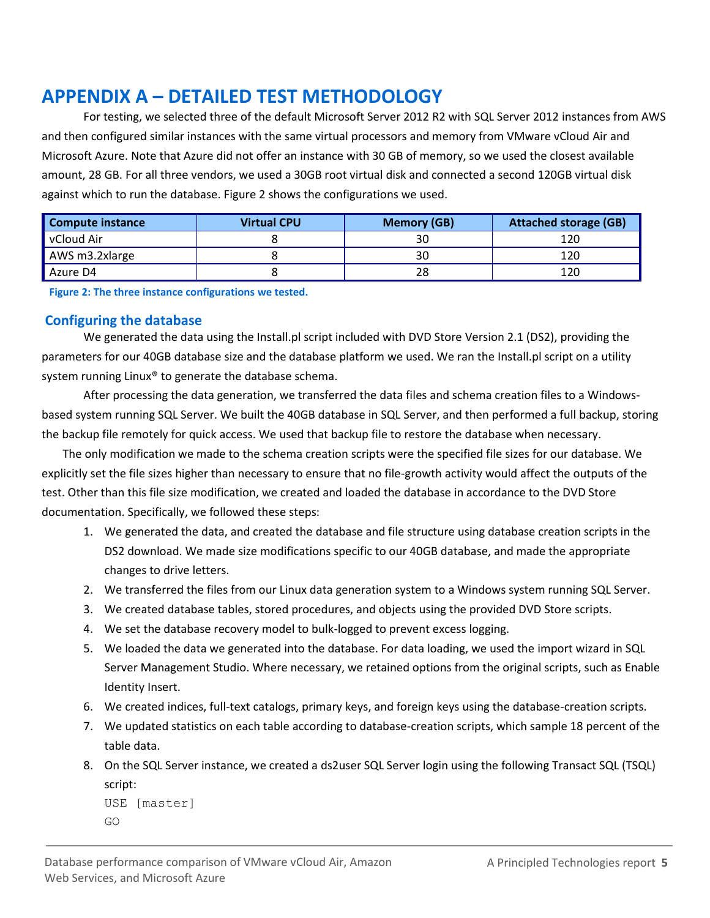## <span id="page-4-0"></span>**APPENDIX A – DETAILED TEST METHODOLOGY**

For testing, we selected three of the default Microsoft Server 2012 R2 with SQL Server 2012 instances from AWS and then configured similar instances with the same virtual processors and memory from VMware vCloud Air and Microsoft Azure. Note that Azure did not offer an instance with 30 GB of memory, so we used the closest available amount, 28 GB. For all three vendors, we used a 30GB root virtual disk and connected a second 120GB virtual disk against which to run the database. Figure 2 shows the configurations we used.

| <b>Compute instance</b> | <b>Virtual CPU</b> | <b>Memory (GB)</b> | <b>Attached storage (GB)</b> |
|-------------------------|--------------------|--------------------|------------------------------|
| vCloud Air              |                    | 30                 | 120                          |
| AWS m3.2xlarge          |                    | 30                 | 120                          |
| Azure D4                |                    | 28                 | 120                          |

**Figure 2: The three instance configurations we tested.**

#### **Configuring the database**

We generated the data using the Install.pl script included with DVD Store Version 2.1 (DS2), providing the parameters for our 40GB database size and the database platform we used. We ran the Install.pl script on a utility system running Linux® to generate the database schema.

After processing the data generation, we transferred the data files and schema creation files to a Windowsbased system running SQL Server. We built the 40GB database in SQL Server, and then performed a full backup, storing the backup file remotely for quick access. We used that backup file to restore the database when necessary.

The only modification we made to the schema creation scripts were the specified file sizes for our database. We explicitly set the file sizes higher than necessary to ensure that no file-growth activity would affect the outputs of the test. Other than this file size modification, we created and loaded the database in accordance to the DVD Store documentation. Specifically, we followed these steps:

- 1. We generated the data, and created the database and file structure using database creation scripts in the DS2 download. We made size modifications specific to our 40GB database, and made the appropriate changes to drive letters.
- 2. We transferred the files from our Linux data generation system to a Windows system running SQL Server.
- 3. We created database tables, stored procedures, and objects using the provided DVD Store scripts.
- 4. We set the database recovery model to bulk-logged to prevent excess logging.
- 5. We loaded the data we generated into the database. For data loading, we used the import wizard in SQL Server Management Studio. Where necessary, we retained options from the original scripts, such as Enable Identity Insert.
- 6. We created indices, full-text catalogs, primary keys, and foreign keys using the database-creation scripts.
- 7. We updated statistics on each table according to database-creation scripts, which sample 18 percent of the table data.
- 8. On the SQL Server instance, we created a ds2user SQL Server login using the following Transact SQL (TSQL) script:

```
USE [master]
GO
```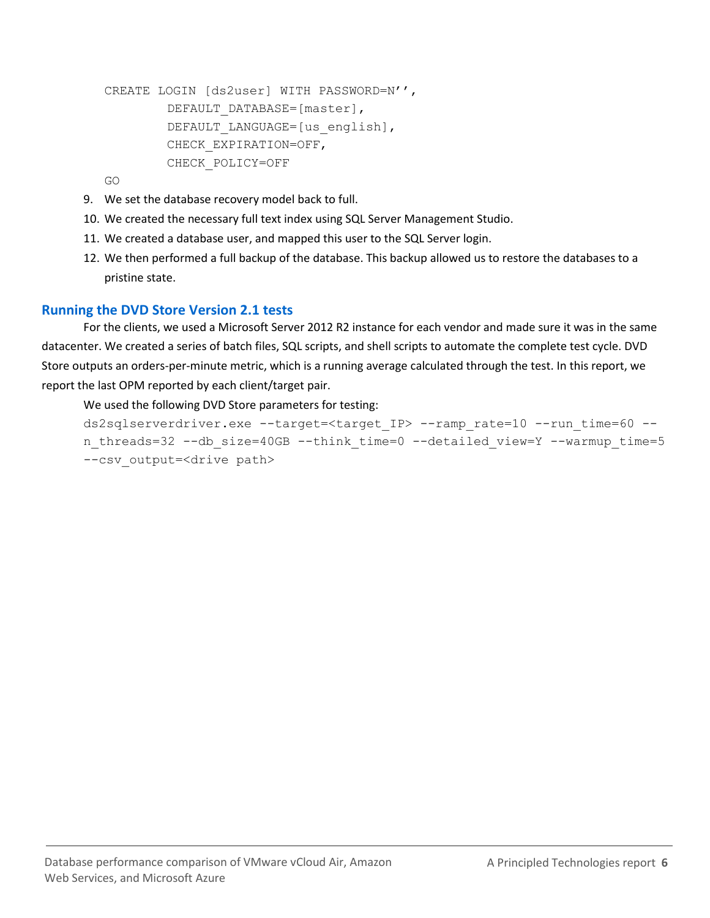```
CREATE LOGIN [ds2user] WITH PASSWORD=N'',
        DEFAULT_DATABASE=[master],
        DEFAULT_LANGUAGE=[us english],
        CHECK_EXPIRATION=OFF,
        CHECK_POLICY=OFF
```
GO

- 9. We set the database recovery model back to full.
- 10. We created the necessary full text index using SQL Server Management Studio.
- 11. We created a database user, and mapped this user to the SQL Server login.
- 12. We then performed a full backup of the database. This backup allowed us to restore the databases to a pristine state.

#### **Running the DVD Store Version 2.1 tests**

For the clients, we used a Microsoft Server 2012 R2 instance for each vendor and made sure it was in the same datacenter. We created a series of batch files, SQL scripts, and shell scripts to automate the complete test cycle. DVD Store outputs an orders-per-minute metric, which is a running average calculated through the test. In this report, we report the last OPM reported by each client/target pair.

We used the following DVD Store parameters for testing:

```
ds2sqlserverdriver.exe --target=<target IP> --ramp_rate=10 --run_time=60 --
n threads=32 --db size=40GB --think time=0 --detailed view=Y --warmup time=5
--csv output=<drive path>
```